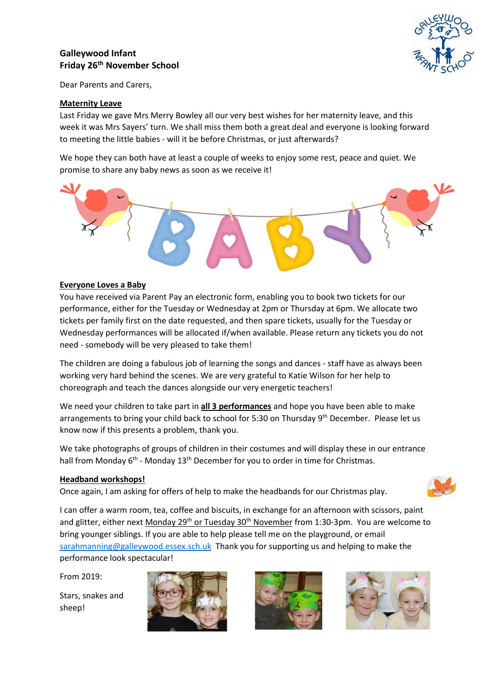# **Galleywood Infant Friday 26 th November School**



Dear Parents and Carers,

## **Maternity Leave**

Last Friday we gave Mrs Merry Bowley all our very best wishes for her maternity leave, and this week it was Mrs Sayers' turn. We shall miss them both a great deal and everyone is looking forward to meeting the little babies - will it be before Christmas, or just afterwards?

We hope they can both have at least a couple of weeks to enjoy some rest, peace and quiet. We promise to share any baby news as soon as we receive it!



## **Everyone Loves a Baby**

You have received via Parent Pay an electronic form, enabling you to book two tickets for our performance, either for the Tuesday or Wednesday at 2pm or Thursday at 6pm. We allocate two tickets per family first on the date requested, and then spare tickets, usually for the Tuesday or Wednesday performances will be allocated if/when available. Please return any tickets you do not need - somebody will be very pleased to take them!

The children are doing a fabulous job of learning the songs and dances - staff have as always been working very hard behind the scenes. We are very grateful to Katie Wilson for her help to choreograph and teach the dances alongside our very energetic teachers!

We need your children to take part in **all 3 performances** and hope you have been able to make arrangements to bring your child back to school for 5:30 on Thursday 9<sup>th</sup> December. Please let us know now if this presents a problem, thank you.

We take photographs of groups of children in their costumes and will display these in our entrance hall from Monday 6<sup>th</sup> - Monday 13<sup>th</sup> December for you to order in time for Christmas.

#### **Headband workshops!**

Once again, I am asking for offers of help to make the headbands for our Christmas play.



I can offer a warm room, tea, coffee and biscuits, in exchange for an afternoon with scissors, paint and glitter, either next Monday 29<sup>th</sup> or Tuesday 30<sup>th</sup> November from 1:30-3pm. You are welcome to bring younger siblings. If you are able to help please tell me on the playground, or email [sarahmanning@galleywood.essex.sch.uk](mailto:sarahmanning@galleywood.essex.sch.uk) Thank you for supporting us and helping to make the performance look spectacular!

From 2019:

Stars, snakes and sheep!